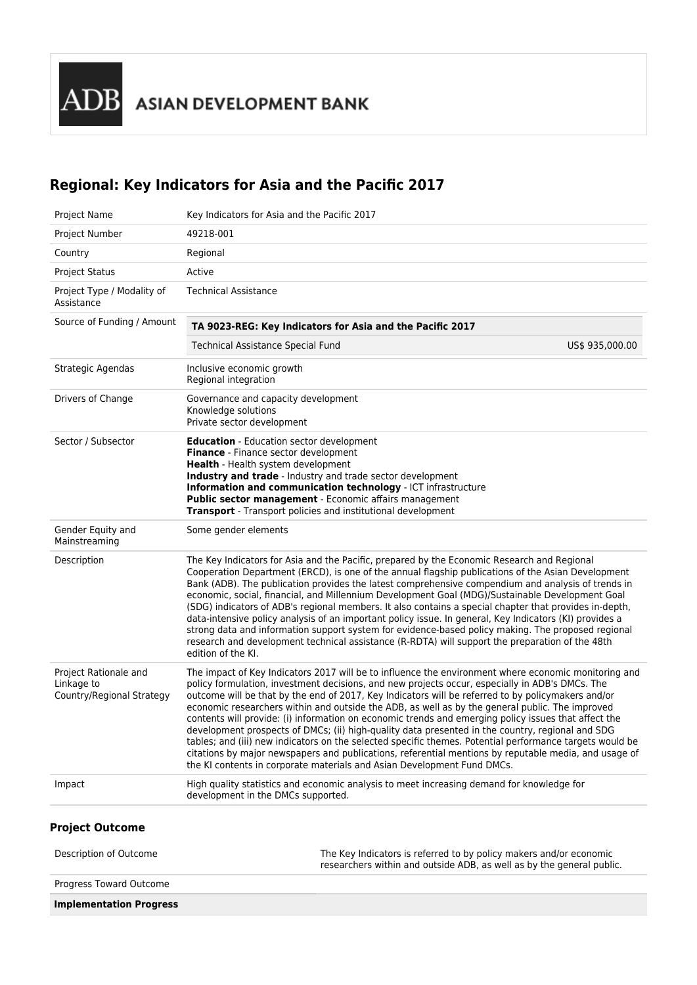**ADB** ASIAN DEVELOPMENT BANK

# **Regional: Key Indicators for Asia and the Pacific 2017**

| Project Name                                                     | Key Indicators for Asia and the Pacific 2017                                                                                                                                                                                                                                                                                                                                                                                                                                                                                                                                                                                                                                                                                                                                                                                                                                                                                 |
|------------------------------------------------------------------|------------------------------------------------------------------------------------------------------------------------------------------------------------------------------------------------------------------------------------------------------------------------------------------------------------------------------------------------------------------------------------------------------------------------------------------------------------------------------------------------------------------------------------------------------------------------------------------------------------------------------------------------------------------------------------------------------------------------------------------------------------------------------------------------------------------------------------------------------------------------------------------------------------------------------|
| Project Number                                                   | 49218-001                                                                                                                                                                                                                                                                                                                                                                                                                                                                                                                                                                                                                                                                                                                                                                                                                                                                                                                    |
| Country                                                          | Regional                                                                                                                                                                                                                                                                                                                                                                                                                                                                                                                                                                                                                                                                                                                                                                                                                                                                                                                     |
| <b>Project Status</b>                                            | Active                                                                                                                                                                                                                                                                                                                                                                                                                                                                                                                                                                                                                                                                                                                                                                                                                                                                                                                       |
| Project Type / Modality of<br>Assistance                         | <b>Technical Assistance</b>                                                                                                                                                                                                                                                                                                                                                                                                                                                                                                                                                                                                                                                                                                                                                                                                                                                                                                  |
| Source of Funding / Amount                                       | TA 9023-REG: Key Indicators for Asia and the Pacific 2017                                                                                                                                                                                                                                                                                                                                                                                                                                                                                                                                                                                                                                                                                                                                                                                                                                                                    |
|                                                                  | <b>Technical Assistance Special Fund</b><br>US\$ 935,000.00                                                                                                                                                                                                                                                                                                                                                                                                                                                                                                                                                                                                                                                                                                                                                                                                                                                                  |
| Strategic Agendas                                                | Inclusive economic growth<br>Regional integration                                                                                                                                                                                                                                                                                                                                                                                                                                                                                                                                                                                                                                                                                                                                                                                                                                                                            |
| Drivers of Change                                                | Governance and capacity development<br>Knowledge solutions<br>Private sector development                                                                                                                                                                                                                                                                                                                                                                                                                                                                                                                                                                                                                                                                                                                                                                                                                                     |
| Sector / Subsector                                               | <b>Education</b> - Education sector development<br>Finance - Finance sector development<br><b>Health</b> - Health system development<br>Industry and trade - Industry and trade sector development<br>Information and communication technology - ICT infrastructure<br>Public sector management - Economic affairs management<br><b>Transport</b> - Transport policies and institutional development                                                                                                                                                                                                                                                                                                                                                                                                                                                                                                                         |
| Gender Equity and<br>Mainstreaming                               | Some gender elements                                                                                                                                                                                                                                                                                                                                                                                                                                                                                                                                                                                                                                                                                                                                                                                                                                                                                                         |
| Description                                                      | The Key Indicators for Asia and the Pacific, prepared by the Economic Research and Regional<br>Cooperation Department (ERCD), is one of the annual flagship publications of the Asian Development<br>Bank (ADB). The publication provides the latest comprehensive compendium and analysis of trends in<br>economic, social, financial, and Millennium Development Goal (MDG)/Sustainable Development Goal<br>(SDG) indicators of ADB's regional members. It also contains a special chapter that provides in-depth,<br>data-intensive policy analysis of an important policy issue. In general, Key Indicators (KI) provides a<br>strong data and information support system for evidence-based policy making. The proposed regional<br>research and development technical assistance (R-RDTA) will support the preparation of the 48th<br>edition of the KI.                                                               |
| Project Rationale and<br>Linkage to<br>Country/Regional Strategy | The impact of Key Indicators 2017 will be to influence the environment where economic monitoring and<br>policy formulation, investment decisions, and new projects occur, especially in ADB's DMCs. The<br>outcome will be that by the end of 2017, Key Indicators will be referred to by policymakers and/or<br>economic researchers within and outside the ADB, as well as by the general public. The improved<br>contents will provide: (i) information on economic trends and emerging policy issues that affect the<br>development prospects of DMCs; (ii) high-quality data presented in the country, regional and SDG<br>tables; and (iii) new indicators on the selected specific themes. Potential performance targets would be<br>citations by major newspapers and publications, referential mentions by reputable media, and usage of<br>the KI contents in corporate materials and Asian Development Fund DMCs. |
| Impact                                                           | High quality statistics and economic analysis to meet increasing demand for knowledge for<br>development in the DMCs supported.                                                                                                                                                                                                                                                                                                                                                                                                                                                                                                                                                                                                                                                                                                                                                                                              |
|                                                                  |                                                                                                                                                                                                                                                                                                                                                                                                                                                                                                                                                                                                                                                                                                                                                                                                                                                                                                                              |

# **Project Outcome**

| Description of Outcome         | The Key Indicators is referred to by policy makers and/or economic<br>researchers within and outside ADB, as well as by the general public. |
|--------------------------------|---------------------------------------------------------------------------------------------------------------------------------------------|
| Progress Toward Outcome        |                                                                                                                                             |
| <b>Implementation Progress</b> |                                                                                                                                             |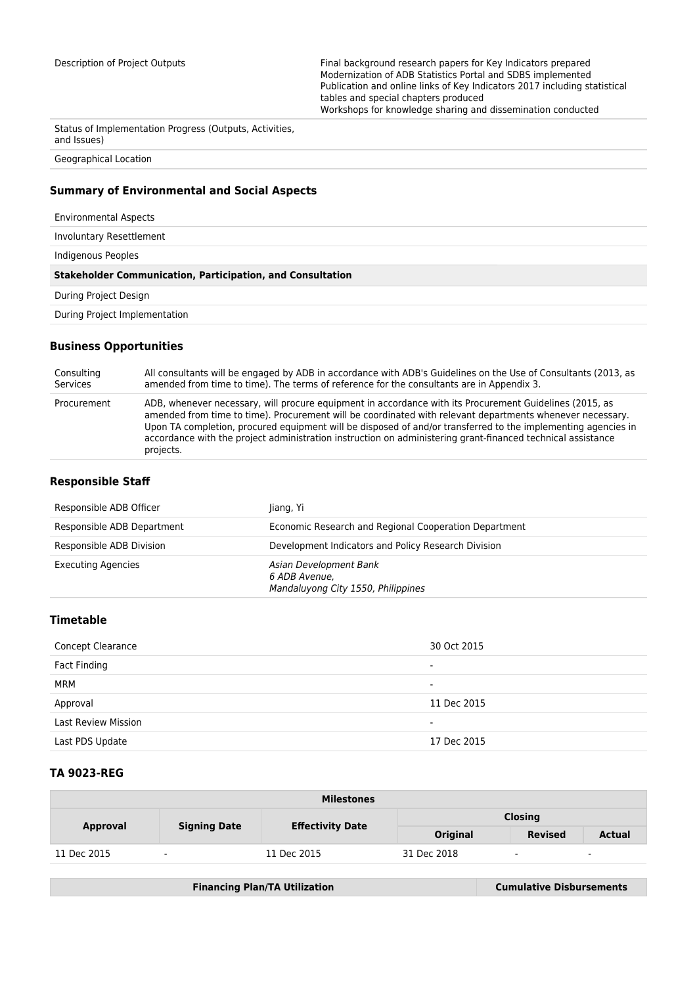Description of Project Outputs Final background research papers for Key Indicators prepared Modernization of ADB Statistics Portal and SDBS implemented Publication and online links of Key Indicators 2017 including statistical tables and special chapters produced Workshops for knowledge sharing and dissemination conducted

Status of Implementation Progress (Outputs, Activities, and Issues)

Geographical Location

## **Summary of Environmental and Social Aspects**

Environmental Aspects

Involuntary Resettlement

Indigenous Peoples

#### **Stakeholder Communication, Participation, and Consultation**

During Project Design

During Project Implementation

#### **Business Opportunities**

Consulting Services All consultants will be engaged by ADB in accordance with ADB's Guidelines on the Use of Consultants (2013, as amended from time to time). The terms of reference for the consultants are in Appendix 3. Procurement ADB, whenever necessary, will procure equipment in accordance with its Procurement Guidelines (2015, as amended from time to time). Procurement will be coordinated with relevant departments whenever necessary. Upon TA completion, procured equipment will be disposed of and/or transferred to the implementing agencies in accordance with the project administration instruction on administering grant-financed technical assistance projects.

# **Responsible Staff**

| Responsible ADB Officer    | liang, Yi                                                                     |
|----------------------------|-------------------------------------------------------------------------------|
| Responsible ADB Department | Economic Research and Regional Cooperation Department                         |
| Responsible ADB Division   | Development Indicators and Policy Research Division                           |
| <b>Executing Agencies</b>  | Asian Development Bank<br>6 ADB Avenue.<br>Mandaluyong City 1550, Philippines |

# **Timetable**

| <b>Concept Clearance</b>   | 30 Oct 2015              |
|----------------------------|--------------------------|
| Fact Finding               | $\overline{\phantom{a}}$ |
| MRM                        | $\overline{\phantom{a}}$ |
| Approval                   | 11 Dec 2015              |
| <b>Last Review Mission</b> | $\blacksquare$           |
| Last PDS Update            | 17 Dec 2015              |

## **TA 9023-REG**

| <b>Milestones</b> |                          |                         |                 |                |                          |  |
|-------------------|--------------------------|-------------------------|-----------------|----------------|--------------------------|--|
| <b>Approval</b>   |                          | <b>Effectivity Date</b> | <b>Closing</b>  |                |                          |  |
|                   | <b>Signing Date</b>      |                         | <b>Original</b> | <b>Revised</b> | <b>Actual</b>            |  |
| 11 Dec 2015       | $\overline{\phantom{a}}$ | 11 Dec 2015             | 31 Dec 2018     | $\blacksquare$ | $\overline{\phantom{a}}$ |  |

|  | <b>Financing Plan/TA Utilization</b> | <b>Cumulative Disbursements</b> |
|--|--------------------------------------|---------------------------------|
|--|--------------------------------------|---------------------------------|